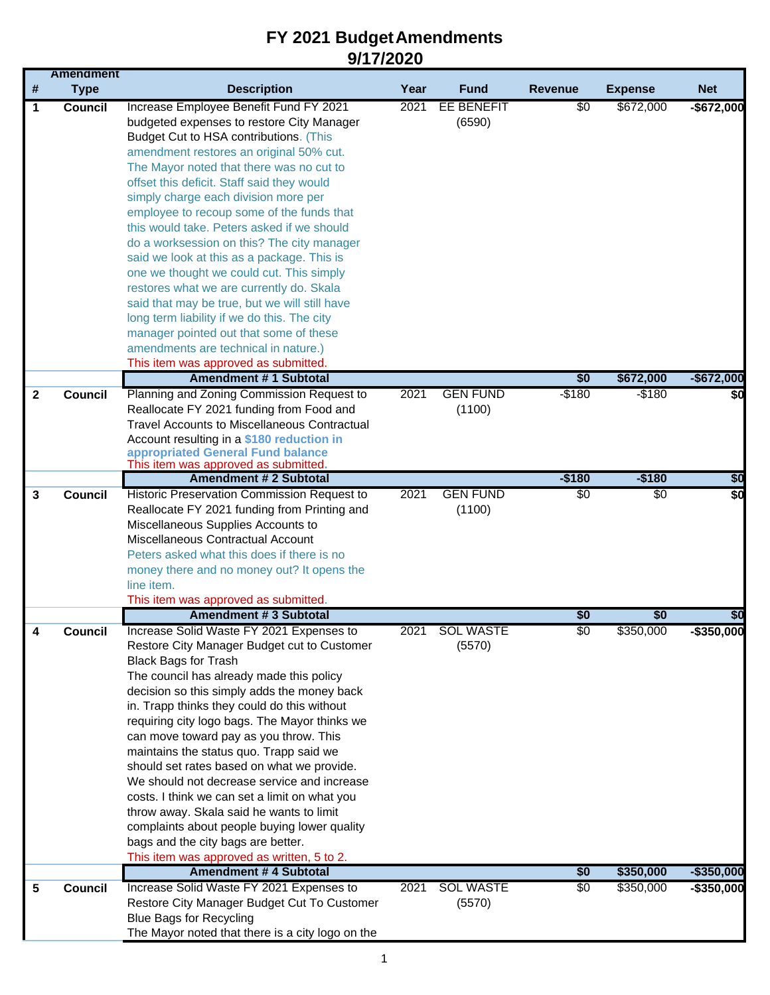| 2021<br>EE BENEFIT<br>\$0<br>\$672,000<br>$-$ \$672,000<br><b>Council</b><br>Increase Employee Benefit Fund FY 2021<br>1<br>budgeted expenses to restore City Manager<br>(6590)<br>Budget Cut to HSA contributions. (This<br>amendment restores an original 50% cut.<br>The Mayor noted that there was no cut to<br>offset this deficit. Staff said they would<br>simply charge each division more per<br>employee to recoup some of the funds that<br>this would take. Peters asked if we should<br>do a worksession on this? The city manager<br>said we look at this as a package. This is<br>one we thought we could cut. This simply<br>restores what we are currently do. Skala<br>said that may be true, but we will still have<br>long term liability if we do this. The city<br>manager pointed out that some of these<br>amendments are technical in nature.)<br>This item was approved as submitted.<br><b>Amendment #1 Subtotal</b><br>\$0<br>\$672,000<br>Planning and Zoning Commission Request to<br>2021<br><b>GEN FUND</b><br>$-$180$<br>$-$180$<br><b>Council</b><br>$\mathbf{2}$<br>Reallocate FY 2021 funding from Food and<br>(1100)<br><b>Travel Accounts to Miscellaneous Contractual</b><br>Account resulting in a \$180 reduction in<br>appropriated General Fund balance<br>This item was approved as submitted.<br>$-$180$<br><b>Amendment # 2 Subtotal</b><br>$-$180$<br><b>GEN FUND</b><br><b>Council</b><br>Historic Preservation Commission Request to<br>2021<br>$\overline{50}$<br>$\overline{50}$<br>3<br>Reallocate FY 2021 funding from Printing and<br>(1100)<br>Miscellaneous Supplies Accounts to<br>Miscellaneous Contractual Account<br>Peters asked what this does if there is no<br>money there and no money out? It opens the<br>line item.<br>This item was approved as submitted.<br><b>Amendment #3 Subtotal</b><br>\$0<br>\$0<br>\$0<br>$\overline{30}$<br>\$350,000<br>Increase Solid Waste FY 2021 Expenses to<br>2021<br>SOL WASTE<br>Council<br>(5570)<br>Restore City Manager Budget cut to Customer<br><b>Black Bags for Trash</b><br>The council has already made this policy<br>decision so this simply adds the money back<br>in. Trapp thinks they could do this without<br>requiring city logo bags. The Mayor thinks we<br>can move toward pay as you throw. This<br>maintains the status quo. Trapp said we<br>should set rates based on what we provide.<br>We should not decrease service and increase<br>costs. I think we can set a limit on what you<br>throw away. Skala said he wants to limit<br>complaints about people buying lower quality<br>bags and the city bags are better.<br>This item was approved as written, 5 to 2.<br><b>Amendment # 4 Subtotal</b><br>\$0<br>\$350,000<br>Increase Solid Waste FY 2021 Expenses to<br><b>SOL WASTE</b><br>\$0<br>\$350,000<br><b>Council</b><br>2021<br>5<br>Restore City Manager Budget Cut To Customer<br>(5570)<br><b>Blue Bags for Recycling</b><br>The Mayor noted that there is a city logo on the | # | <b>Amendment</b><br><b>Type</b> | <b>Description</b> | Year | <b>Fund</b> | <b>Revenue</b> |                | <b>Net</b> |
|-------------------------------------------------------------------------------------------------------------------------------------------------------------------------------------------------------------------------------------------------------------------------------------------------------------------------------------------------------------------------------------------------------------------------------------------------------------------------------------------------------------------------------------------------------------------------------------------------------------------------------------------------------------------------------------------------------------------------------------------------------------------------------------------------------------------------------------------------------------------------------------------------------------------------------------------------------------------------------------------------------------------------------------------------------------------------------------------------------------------------------------------------------------------------------------------------------------------------------------------------------------------------------------------------------------------------------------------------------------------------------------------------------------------------------------------------------------------------------------------------------------------------------------------------------------------------------------------------------------------------------------------------------------------------------------------------------------------------------------------------------------------------------------------------------------------------------------------------------------------------------------------------------------------------------------------------------------------------------------------------------------------------------------------------------------------------------------------------------------------------------------------------------------------------------------------------------------------------------------------------------------------------------------------------------------------------------------------------------------------------------------------------------------------------------------------------------------------------------------------------------------------------------------------------------------------------------------------------------------------------------------------------------------------------------------------------------------------------------------------------------------------------------------------------------------------------------------------------------------------------------------------------------------------------------------------------------------------------------------------------------------------------------|---|---------------------------------|--------------------|------|-------------|----------------|----------------|------------|
| $-$ \$672,000<br>\$0<br>\$0<br>\$0<br>-\$350.000                                                                                                                                                                                                                                                                                                                                                                                                                                                                                                                                                                                                                                                                                                                                                                                                                                                                                                                                                                                                                                                                                                                                                                                                                                                                                                                                                                                                                                                                                                                                                                                                                                                                                                                                                                                                                                                                                                                                                                                                                                                                                                                                                                                                                                                                                                                                                                                                                                                                                                                                                                                                                                                                                                                                                                                                                                                                                                                                                                              |   |                                 |                    |      |             |                | <b>Expense</b> |            |
|                                                                                                                                                                                                                                                                                                                                                                                                                                                                                                                                                                                                                                                                                                                                                                                                                                                                                                                                                                                                                                                                                                                                                                                                                                                                                                                                                                                                                                                                                                                                                                                                                                                                                                                                                                                                                                                                                                                                                                                                                                                                                                                                                                                                                                                                                                                                                                                                                                                                                                                                                                                                                                                                                                                                                                                                                                                                                                                                                                                                                               |   |                                 |                    |      |             |                |                |            |
|                                                                                                                                                                                                                                                                                                                                                                                                                                                                                                                                                                                                                                                                                                                                                                                                                                                                                                                                                                                                                                                                                                                                                                                                                                                                                                                                                                                                                                                                                                                                                                                                                                                                                                                                                                                                                                                                                                                                                                                                                                                                                                                                                                                                                                                                                                                                                                                                                                                                                                                                                                                                                                                                                                                                                                                                                                                                                                                                                                                                                               |   |                                 |                    |      |             |                |                |            |
|                                                                                                                                                                                                                                                                                                                                                                                                                                                                                                                                                                                                                                                                                                                                                                                                                                                                                                                                                                                                                                                                                                                                                                                                                                                                                                                                                                                                                                                                                                                                                                                                                                                                                                                                                                                                                                                                                                                                                                                                                                                                                                                                                                                                                                                                                                                                                                                                                                                                                                                                                                                                                                                                                                                                                                                                                                                                                                                                                                                                                               |   |                                 |                    |      |             |                |                |            |
|                                                                                                                                                                                                                                                                                                                                                                                                                                                                                                                                                                                                                                                                                                                                                                                                                                                                                                                                                                                                                                                                                                                                                                                                                                                                                                                                                                                                                                                                                                                                                                                                                                                                                                                                                                                                                                                                                                                                                                                                                                                                                                                                                                                                                                                                                                                                                                                                                                                                                                                                                                                                                                                                                                                                                                                                                                                                                                                                                                                                                               |   |                                 |                    |      |             |                |                |            |
|                                                                                                                                                                                                                                                                                                                                                                                                                                                                                                                                                                                                                                                                                                                                                                                                                                                                                                                                                                                                                                                                                                                                                                                                                                                                                                                                                                                                                                                                                                                                                                                                                                                                                                                                                                                                                                                                                                                                                                                                                                                                                                                                                                                                                                                                                                                                                                                                                                                                                                                                                                                                                                                                                                                                                                                                                                                                                                                                                                                                                               |   |                                 |                    |      |             |                |                |            |
|                                                                                                                                                                                                                                                                                                                                                                                                                                                                                                                                                                                                                                                                                                                                                                                                                                                                                                                                                                                                                                                                                                                                                                                                                                                                                                                                                                                                                                                                                                                                                                                                                                                                                                                                                                                                                                                                                                                                                                                                                                                                                                                                                                                                                                                                                                                                                                                                                                                                                                                                                                                                                                                                                                                                                                                                                                                                                                                                                                                                                               |   |                                 |                    |      |             |                |                |            |
|                                                                                                                                                                                                                                                                                                                                                                                                                                                                                                                                                                                                                                                                                                                                                                                                                                                                                                                                                                                                                                                                                                                                                                                                                                                                                                                                                                                                                                                                                                                                                                                                                                                                                                                                                                                                                                                                                                                                                                                                                                                                                                                                                                                                                                                                                                                                                                                                                                                                                                                                                                                                                                                                                                                                                                                                                                                                                                                                                                                                                               |   |                                 |                    |      |             |                |                |            |
|                                                                                                                                                                                                                                                                                                                                                                                                                                                                                                                                                                                                                                                                                                                                                                                                                                                                                                                                                                                                                                                                                                                                                                                                                                                                                                                                                                                                                                                                                                                                                                                                                                                                                                                                                                                                                                                                                                                                                                                                                                                                                                                                                                                                                                                                                                                                                                                                                                                                                                                                                                                                                                                                                                                                                                                                                                                                                                                                                                                                                               |   |                                 |                    |      |             |                |                |            |
|                                                                                                                                                                                                                                                                                                                                                                                                                                                                                                                                                                                                                                                                                                                                                                                                                                                                                                                                                                                                                                                                                                                                                                                                                                                                                                                                                                                                                                                                                                                                                                                                                                                                                                                                                                                                                                                                                                                                                                                                                                                                                                                                                                                                                                                                                                                                                                                                                                                                                                                                                                                                                                                                                                                                                                                                                                                                                                                                                                                                                               |   |                                 |                    |      |             |                |                |            |
|                                                                                                                                                                                                                                                                                                                                                                                                                                                                                                                                                                                                                                                                                                                                                                                                                                                                                                                                                                                                                                                                                                                                                                                                                                                                                                                                                                                                                                                                                                                                                                                                                                                                                                                                                                                                                                                                                                                                                                                                                                                                                                                                                                                                                                                                                                                                                                                                                                                                                                                                                                                                                                                                                                                                                                                                                                                                                                                                                                                                                               |   |                                 |                    |      |             |                |                |            |
|                                                                                                                                                                                                                                                                                                                                                                                                                                                                                                                                                                                                                                                                                                                                                                                                                                                                                                                                                                                                                                                                                                                                                                                                                                                                                                                                                                                                                                                                                                                                                                                                                                                                                                                                                                                                                                                                                                                                                                                                                                                                                                                                                                                                                                                                                                                                                                                                                                                                                                                                                                                                                                                                                                                                                                                                                                                                                                                                                                                                                               |   |                                 |                    |      |             |                |                |            |
|                                                                                                                                                                                                                                                                                                                                                                                                                                                                                                                                                                                                                                                                                                                                                                                                                                                                                                                                                                                                                                                                                                                                                                                                                                                                                                                                                                                                                                                                                                                                                                                                                                                                                                                                                                                                                                                                                                                                                                                                                                                                                                                                                                                                                                                                                                                                                                                                                                                                                                                                                                                                                                                                                                                                                                                                                                                                                                                                                                                                                               |   |                                 |                    |      |             |                |                |            |
|                                                                                                                                                                                                                                                                                                                                                                                                                                                                                                                                                                                                                                                                                                                                                                                                                                                                                                                                                                                                                                                                                                                                                                                                                                                                                                                                                                                                                                                                                                                                                                                                                                                                                                                                                                                                                                                                                                                                                                                                                                                                                                                                                                                                                                                                                                                                                                                                                                                                                                                                                                                                                                                                                                                                                                                                                                                                                                                                                                                                                               |   |                                 |                    |      |             |                |                |            |
|                                                                                                                                                                                                                                                                                                                                                                                                                                                                                                                                                                                                                                                                                                                                                                                                                                                                                                                                                                                                                                                                                                                                                                                                                                                                                                                                                                                                                                                                                                                                                                                                                                                                                                                                                                                                                                                                                                                                                                                                                                                                                                                                                                                                                                                                                                                                                                                                                                                                                                                                                                                                                                                                                                                                                                                                                                                                                                                                                                                                                               |   |                                 |                    |      |             |                |                |            |
|                                                                                                                                                                                                                                                                                                                                                                                                                                                                                                                                                                                                                                                                                                                                                                                                                                                                                                                                                                                                                                                                                                                                                                                                                                                                                                                                                                                                                                                                                                                                                                                                                                                                                                                                                                                                                                                                                                                                                                                                                                                                                                                                                                                                                                                                                                                                                                                                                                                                                                                                                                                                                                                                                                                                                                                                                                                                                                                                                                                                                               |   |                                 |                    |      |             |                |                |            |
|                                                                                                                                                                                                                                                                                                                                                                                                                                                                                                                                                                                                                                                                                                                                                                                                                                                                                                                                                                                                                                                                                                                                                                                                                                                                                                                                                                                                                                                                                                                                                                                                                                                                                                                                                                                                                                                                                                                                                                                                                                                                                                                                                                                                                                                                                                                                                                                                                                                                                                                                                                                                                                                                                                                                                                                                                                                                                                                                                                                                                               |   |                                 |                    |      |             |                |                |            |
|                                                                                                                                                                                                                                                                                                                                                                                                                                                                                                                                                                                                                                                                                                                                                                                                                                                                                                                                                                                                                                                                                                                                                                                                                                                                                                                                                                                                                                                                                                                                                                                                                                                                                                                                                                                                                                                                                                                                                                                                                                                                                                                                                                                                                                                                                                                                                                                                                                                                                                                                                                                                                                                                                                                                                                                                                                                                                                                                                                                                                               |   |                                 |                    |      |             |                |                |            |
|                                                                                                                                                                                                                                                                                                                                                                                                                                                                                                                                                                                                                                                                                                                                                                                                                                                                                                                                                                                                                                                                                                                                                                                                                                                                                                                                                                                                                                                                                                                                                                                                                                                                                                                                                                                                                                                                                                                                                                                                                                                                                                                                                                                                                                                                                                                                                                                                                                                                                                                                                                                                                                                                                                                                                                                                                                                                                                                                                                                                                               |   |                                 |                    |      |             |                |                |            |
|                                                                                                                                                                                                                                                                                                                                                                                                                                                                                                                                                                                                                                                                                                                                                                                                                                                                                                                                                                                                                                                                                                                                                                                                                                                                                                                                                                                                                                                                                                                                                                                                                                                                                                                                                                                                                                                                                                                                                                                                                                                                                                                                                                                                                                                                                                                                                                                                                                                                                                                                                                                                                                                                                                                                                                                                                                                                                                                                                                                                                               |   |                                 |                    |      |             |                |                |            |
|                                                                                                                                                                                                                                                                                                                                                                                                                                                                                                                                                                                                                                                                                                                                                                                                                                                                                                                                                                                                                                                                                                                                                                                                                                                                                                                                                                                                                                                                                                                                                                                                                                                                                                                                                                                                                                                                                                                                                                                                                                                                                                                                                                                                                                                                                                                                                                                                                                                                                                                                                                                                                                                                                                                                                                                                                                                                                                                                                                                                                               |   |                                 |                    |      |             |                |                |            |
|                                                                                                                                                                                                                                                                                                                                                                                                                                                                                                                                                                                                                                                                                                                                                                                                                                                                                                                                                                                                                                                                                                                                                                                                                                                                                                                                                                                                                                                                                                                                                                                                                                                                                                                                                                                                                                                                                                                                                                                                                                                                                                                                                                                                                                                                                                                                                                                                                                                                                                                                                                                                                                                                                                                                                                                                                                                                                                                                                                                                                               |   |                                 |                    |      |             |                |                |            |
|                                                                                                                                                                                                                                                                                                                                                                                                                                                                                                                                                                                                                                                                                                                                                                                                                                                                                                                                                                                                                                                                                                                                                                                                                                                                                                                                                                                                                                                                                                                                                                                                                                                                                                                                                                                                                                                                                                                                                                                                                                                                                                                                                                                                                                                                                                                                                                                                                                                                                                                                                                                                                                                                                                                                                                                                                                                                                                                                                                                                                               |   |                                 |                    |      |             |                |                |            |
|                                                                                                                                                                                                                                                                                                                                                                                                                                                                                                                                                                                                                                                                                                                                                                                                                                                                                                                                                                                                                                                                                                                                                                                                                                                                                                                                                                                                                                                                                                                                                                                                                                                                                                                                                                                                                                                                                                                                                                                                                                                                                                                                                                                                                                                                                                                                                                                                                                                                                                                                                                                                                                                                                                                                                                                                                                                                                                                                                                                                                               |   |                                 |                    |      |             |                |                |            |
|                                                                                                                                                                                                                                                                                                                                                                                                                                                                                                                                                                                                                                                                                                                                                                                                                                                                                                                                                                                                                                                                                                                                                                                                                                                                                                                                                                                                                                                                                                                                                                                                                                                                                                                                                                                                                                                                                                                                                                                                                                                                                                                                                                                                                                                                                                                                                                                                                                                                                                                                                                                                                                                                                                                                                                                                                                                                                                                                                                                                                               |   |                                 |                    |      |             |                |                |            |
|                                                                                                                                                                                                                                                                                                                                                                                                                                                                                                                                                                                                                                                                                                                                                                                                                                                                                                                                                                                                                                                                                                                                                                                                                                                                                                                                                                                                                                                                                                                                                                                                                                                                                                                                                                                                                                                                                                                                                                                                                                                                                                                                                                                                                                                                                                                                                                                                                                                                                                                                                                                                                                                                                                                                                                                                                                                                                                                                                                                                                               |   |                                 |                    |      |             |                |                |            |
|                                                                                                                                                                                                                                                                                                                                                                                                                                                                                                                                                                                                                                                                                                                                                                                                                                                                                                                                                                                                                                                                                                                                                                                                                                                                                                                                                                                                                                                                                                                                                                                                                                                                                                                                                                                                                                                                                                                                                                                                                                                                                                                                                                                                                                                                                                                                                                                                                                                                                                                                                                                                                                                                                                                                                                                                                                                                                                                                                                                                                               |   |                                 |                    |      |             |                |                |            |
|                                                                                                                                                                                                                                                                                                                                                                                                                                                                                                                                                                                                                                                                                                                                                                                                                                                                                                                                                                                                                                                                                                                                                                                                                                                                                                                                                                                                                                                                                                                                                                                                                                                                                                                                                                                                                                                                                                                                                                                                                                                                                                                                                                                                                                                                                                                                                                                                                                                                                                                                                                                                                                                                                                                                                                                                                                                                                                                                                                                                                               |   |                                 |                    |      |             |                |                |            |
|                                                                                                                                                                                                                                                                                                                                                                                                                                                                                                                                                                                                                                                                                                                                                                                                                                                                                                                                                                                                                                                                                                                                                                                                                                                                                                                                                                                                                                                                                                                                                                                                                                                                                                                                                                                                                                                                                                                                                                                                                                                                                                                                                                                                                                                                                                                                                                                                                                                                                                                                                                                                                                                                                                                                                                                                                                                                                                                                                                                                                               |   |                                 |                    |      |             |                |                |            |
|                                                                                                                                                                                                                                                                                                                                                                                                                                                                                                                                                                                                                                                                                                                                                                                                                                                                                                                                                                                                                                                                                                                                                                                                                                                                                                                                                                                                                                                                                                                                                                                                                                                                                                                                                                                                                                                                                                                                                                                                                                                                                                                                                                                                                                                                                                                                                                                                                                                                                                                                                                                                                                                                                                                                                                                                                                                                                                                                                                                                                               |   |                                 |                    |      |             |                |                |            |
|                                                                                                                                                                                                                                                                                                                                                                                                                                                                                                                                                                                                                                                                                                                                                                                                                                                                                                                                                                                                                                                                                                                                                                                                                                                                                                                                                                                                                                                                                                                                                                                                                                                                                                                                                                                                                                                                                                                                                                                                                                                                                                                                                                                                                                                                                                                                                                                                                                                                                                                                                                                                                                                                                                                                                                                                                                                                                                                                                                                                                               |   |                                 |                    |      |             |                |                |            |
|                                                                                                                                                                                                                                                                                                                                                                                                                                                                                                                                                                                                                                                                                                                                                                                                                                                                                                                                                                                                                                                                                                                                                                                                                                                                                                                                                                                                                                                                                                                                                                                                                                                                                                                                                                                                                                                                                                                                                                                                                                                                                                                                                                                                                                                                                                                                                                                                                                                                                                                                                                                                                                                                                                                                                                                                                                                                                                                                                                                                                               |   |                                 |                    |      |             |                |                |            |
|                                                                                                                                                                                                                                                                                                                                                                                                                                                                                                                                                                                                                                                                                                                                                                                                                                                                                                                                                                                                                                                                                                                                                                                                                                                                                                                                                                                                                                                                                                                                                                                                                                                                                                                                                                                                                                                                                                                                                                                                                                                                                                                                                                                                                                                                                                                                                                                                                                                                                                                                                                                                                                                                                                                                                                                                                                                                                                                                                                                                                               |   |                                 |                    |      |             |                |                |            |
| $-$350,000$<br>$-$ \$350,000                                                                                                                                                                                                                                                                                                                                                                                                                                                                                                                                                                                                                                                                                                                                                                                                                                                                                                                                                                                                                                                                                                                                                                                                                                                                                                                                                                                                                                                                                                                                                                                                                                                                                                                                                                                                                                                                                                                                                                                                                                                                                                                                                                                                                                                                                                                                                                                                                                                                                                                                                                                                                                                                                                                                                                                                                                                                                                                                                                                                  |   |                                 |                    |      |             |                |                |            |
|                                                                                                                                                                                                                                                                                                                                                                                                                                                                                                                                                                                                                                                                                                                                                                                                                                                                                                                                                                                                                                                                                                                                                                                                                                                                                                                                                                                                                                                                                                                                                                                                                                                                                                                                                                                                                                                                                                                                                                                                                                                                                                                                                                                                                                                                                                                                                                                                                                                                                                                                                                                                                                                                                                                                                                                                                                                                                                                                                                                                                               |   |                                 |                    |      |             |                |                |            |
|                                                                                                                                                                                                                                                                                                                                                                                                                                                                                                                                                                                                                                                                                                                                                                                                                                                                                                                                                                                                                                                                                                                                                                                                                                                                                                                                                                                                                                                                                                                                                                                                                                                                                                                                                                                                                                                                                                                                                                                                                                                                                                                                                                                                                                                                                                                                                                                                                                                                                                                                                                                                                                                                                                                                                                                                                                                                                                                                                                                                                               |   |                                 |                    |      |             |                |                |            |
|                                                                                                                                                                                                                                                                                                                                                                                                                                                                                                                                                                                                                                                                                                                                                                                                                                                                                                                                                                                                                                                                                                                                                                                                                                                                                                                                                                                                                                                                                                                                                                                                                                                                                                                                                                                                                                                                                                                                                                                                                                                                                                                                                                                                                                                                                                                                                                                                                                                                                                                                                                                                                                                                                                                                                                                                                                                                                                                                                                                                                               |   |                                 |                    |      |             |                |                |            |
|                                                                                                                                                                                                                                                                                                                                                                                                                                                                                                                                                                                                                                                                                                                                                                                                                                                                                                                                                                                                                                                                                                                                                                                                                                                                                                                                                                                                                                                                                                                                                                                                                                                                                                                                                                                                                                                                                                                                                                                                                                                                                                                                                                                                                                                                                                                                                                                                                                                                                                                                                                                                                                                                                                                                                                                                                                                                                                                                                                                                                               |   |                                 |                    |      |             |                |                |            |
|                                                                                                                                                                                                                                                                                                                                                                                                                                                                                                                                                                                                                                                                                                                                                                                                                                                                                                                                                                                                                                                                                                                                                                                                                                                                                                                                                                                                                                                                                                                                                                                                                                                                                                                                                                                                                                                                                                                                                                                                                                                                                                                                                                                                                                                                                                                                                                                                                                                                                                                                                                                                                                                                                                                                                                                                                                                                                                                                                                                                                               |   |                                 |                    |      |             |                |                |            |
|                                                                                                                                                                                                                                                                                                                                                                                                                                                                                                                                                                                                                                                                                                                                                                                                                                                                                                                                                                                                                                                                                                                                                                                                                                                                                                                                                                                                                                                                                                                                                                                                                                                                                                                                                                                                                                                                                                                                                                                                                                                                                                                                                                                                                                                                                                                                                                                                                                                                                                                                                                                                                                                                                                                                                                                                                                                                                                                                                                                                                               |   |                                 |                    |      |             |                |                |            |
|                                                                                                                                                                                                                                                                                                                                                                                                                                                                                                                                                                                                                                                                                                                                                                                                                                                                                                                                                                                                                                                                                                                                                                                                                                                                                                                                                                                                                                                                                                                                                                                                                                                                                                                                                                                                                                                                                                                                                                                                                                                                                                                                                                                                                                                                                                                                                                                                                                                                                                                                                                                                                                                                                                                                                                                                                                                                                                                                                                                                                               |   |                                 |                    |      |             |                |                |            |
|                                                                                                                                                                                                                                                                                                                                                                                                                                                                                                                                                                                                                                                                                                                                                                                                                                                                                                                                                                                                                                                                                                                                                                                                                                                                                                                                                                                                                                                                                                                                                                                                                                                                                                                                                                                                                                                                                                                                                                                                                                                                                                                                                                                                                                                                                                                                                                                                                                                                                                                                                                                                                                                                                                                                                                                                                                                                                                                                                                                                                               |   |                                 |                    |      |             |                |                |            |
|                                                                                                                                                                                                                                                                                                                                                                                                                                                                                                                                                                                                                                                                                                                                                                                                                                                                                                                                                                                                                                                                                                                                                                                                                                                                                                                                                                                                                                                                                                                                                                                                                                                                                                                                                                                                                                                                                                                                                                                                                                                                                                                                                                                                                                                                                                                                                                                                                                                                                                                                                                                                                                                                                                                                                                                                                                                                                                                                                                                                                               |   |                                 |                    |      |             |                |                |            |
|                                                                                                                                                                                                                                                                                                                                                                                                                                                                                                                                                                                                                                                                                                                                                                                                                                                                                                                                                                                                                                                                                                                                                                                                                                                                                                                                                                                                                                                                                                                                                                                                                                                                                                                                                                                                                                                                                                                                                                                                                                                                                                                                                                                                                                                                                                                                                                                                                                                                                                                                                                                                                                                                                                                                                                                                                                                                                                                                                                                                                               |   |                                 |                    |      |             |                |                |            |
|                                                                                                                                                                                                                                                                                                                                                                                                                                                                                                                                                                                                                                                                                                                                                                                                                                                                                                                                                                                                                                                                                                                                                                                                                                                                                                                                                                                                                                                                                                                                                                                                                                                                                                                                                                                                                                                                                                                                                                                                                                                                                                                                                                                                                                                                                                                                                                                                                                                                                                                                                                                                                                                                                                                                                                                                                                                                                                                                                                                                                               |   |                                 |                    |      |             |                |                |            |
|                                                                                                                                                                                                                                                                                                                                                                                                                                                                                                                                                                                                                                                                                                                                                                                                                                                                                                                                                                                                                                                                                                                                                                                                                                                                                                                                                                                                                                                                                                                                                                                                                                                                                                                                                                                                                                                                                                                                                                                                                                                                                                                                                                                                                                                                                                                                                                                                                                                                                                                                                                                                                                                                                                                                                                                                                                                                                                                                                                                                                               |   |                                 |                    |      |             |                |                |            |
|                                                                                                                                                                                                                                                                                                                                                                                                                                                                                                                                                                                                                                                                                                                                                                                                                                                                                                                                                                                                                                                                                                                                                                                                                                                                                                                                                                                                                                                                                                                                                                                                                                                                                                                                                                                                                                                                                                                                                                                                                                                                                                                                                                                                                                                                                                                                                                                                                                                                                                                                                                                                                                                                                                                                                                                                                                                                                                                                                                                                                               |   |                                 |                    |      |             |                |                |            |
|                                                                                                                                                                                                                                                                                                                                                                                                                                                                                                                                                                                                                                                                                                                                                                                                                                                                                                                                                                                                                                                                                                                                                                                                                                                                                                                                                                                                                                                                                                                                                                                                                                                                                                                                                                                                                                                                                                                                                                                                                                                                                                                                                                                                                                                                                                                                                                                                                                                                                                                                                                                                                                                                                                                                                                                                                                                                                                                                                                                                                               |   |                                 |                    |      |             |                |                |            |
|                                                                                                                                                                                                                                                                                                                                                                                                                                                                                                                                                                                                                                                                                                                                                                                                                                                                                                                                                                                                                                                                                                                                                                                                                                                                                                                                                                                                                                                                                                                                                                                                                                                                                                                                                                                                                                                                                                                                                                                                                                                                                                                                                                                                                                                                                                                                                                                                                                                                                                                                                                                                                                                                                                                                                                                                                                                                                                                                                                                                                               |   |                                 |                    |      |             |                |                |            |
|                                                                                                                                                                                                                                                                                                                                                                                                                                                                                                                                                                                                                                                                                                                                                                                                                                                                                                                                                                                                                                                                                                                                                                                                                                                                                                                                                                                                                                                                                                                                                                                                                                                                                                                                                                                                                                                                                                                                                                                                                                                                                                                                                                                                                                                                                                                                                                                                                                                                                                                                                                                                                                                                                                                                                                                                                                                                                                                                                                                                                               |   |                                 |                    |      |             |                |                |            |
|                                                                                                                                                                                                                                                                                                                                                                                                                                                                                                                                                                                                                                                                                                                                                                                                                                                                                                                                                                                                                                                                                                                                                                                                                                                                                                                                                                                                                                                                                                                                                                                                                                                                                                                                                                                                                                                                                                                                                                                                                                                                                                                                                                                                                                                                                                                                                                                                                                                                                                                                                                                                                                                                                                                                                                                                                                                                                                                                                                                                                               |   |                                 |                    |      |             |                |                |            |
|                                                                                                                                                                                                                                                                                                                                                                                                                                                                                                                                                                                                                                                                                                                                                                                                                                                                                                                                                                                                                                                                                                                                                                                                                                                                                                                                                                                                                                                                                                                                                                                                                                                                                                                                                                                                                                                                                                                                                                                                                                                                                                                                                                                                                                                                                                                                                                                                                                                                                                                                                                                                                                                                                                                                                                                                                                                                                                                                                                                                                               |   |                                 |                    |      |             |                |                |            |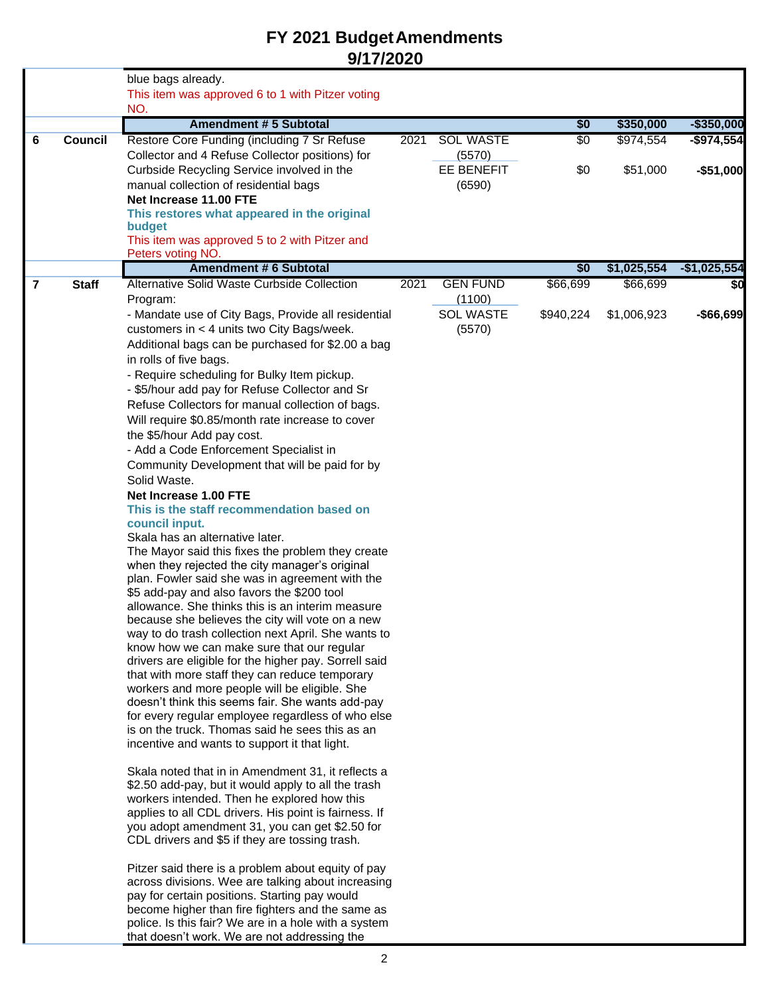|                |                | blue bags already.                                                                                       |      |                            |           |             |               |
|----------------|----------------|----------------------------------------------------------------------------------------------------------|------|----------------------------|-----------|-------------|---------------|
|                |                | This item was approved 6 to 1 with Pitzer voting                                                         |      |                            |           |             |               |
|                |                | NO.                                                                                                      |      |                            |           |             |               |
|                |                | <b>Amendment #5 Subtotal</b>                                                                             |      |                            | \$0       | \$350,000   | $-$350,000$   |
| 6              | <b>Council</b> | Restore Core Funding (including 7 Sr Refuse                                                              | 2021 | <b>SOL WASTE</b>           | \$0       | \$974,554   | $-$ \$974,554 |
|                |                | Collector and 4 Refuse Collector positions) for                                                          |      | (5570)                     |           |             |               |
|                |                | Curbside Recycling Service involved in the                                                               |      | <b>EE BENEFIT</b>          | \$0       | \$51,000    | $-$51,000$    |
|                |                | manual collection of residential bags<br>Net Increase 11.00 FTE                                          |      | (6590)                     |           |             |               |
|                |                | This restores what appeared in the original                                                              |      |                            |           |             |               |
|                |                | budget                                                                                                   |      |                            |           |             |               |
|                |                | This item was approved 5 to 2 with Pitzer and                                                            |      |                            |           |             |               |
|                |                | Peters voting NO.                                                                                        |      |                            |           |             |               |
|                |                | <b>Amendment #6 Subtotal</b>                                                                             |      |                            | \$0       | \$1,025,554 | $-$1,025,554$ |
| $\overline{7}$ | <b>Staff</b>   | Alternative Solid Waste Curbside Collection                                                              | 2021 | <b>GEN FUND</b>            | \$66,699  | \$66,699    | \$0           |
|                |                | Program:                                                                                                 |      | (1100)<br><b>SOL WASTE</b> |           |             |               |
|                |                | - Mandate use of City Bags, Provide all residential<br>customers in < 4 units two City Bags/week.        |      | (5570)                     | \$940,224 | \$1,006,923 | -\$66,699     |
|                |                | Additional bags can be purchased for \$2.00 a bag                                                        |      |                            |           |             |               |
|                |                | in rolls of five bags.                                                                                   |      |                            |           |             |               |
|                |                | - Require scheduling for Bulky Item pickup.                                                              |      |                            |           |             |               |
|                |                | - \$5/hour add pay for Refuse Collector and Sr                                                           |      |                            |           |             |               |
|                |                | Refuse Collectors for manual collection of bags.                                                         |      |                            |           |             |               |
|                |                | Will require \$0.85/month rate increase to cover                                                         |      |                            |           |             |               |
|                |                | the \$5/hour Add pay cost.                                                                               |      |                            |           |             |               |
|                |                | - Add a Code Enforcement Specialist in                                                                   |      |                            |           |             |               |
|                |                | Community Development that will be paid for by                                                           |      |                            |           |             |               |
|                |                | Solid Waste.                                                                                             |      |                            |           |             |               |
|                |                | Net Increase 1.00 FTE                                                                                    |      |                            |           |             |               |
|                |                | This is the staff recommendation based on<br>council input.                                              |      |                            |           |             |               |
|                |                | Skala has an alternative later.                                                                          |      |                            |           |             |               |
|                |                | The Mayor said this fixes the problem they create                                                        |      |                            |           |             |               |
|                |                | when they rejected the city manager's original                                                           |      |                            |           |             |               |
|                |                | plan. Fowler said she was in agreement with the                                                          |      |                            |           |             |               |
|                |                | \$5 add-pay and also favors the \$200 tool                                                               |      |                            |           |             |               |
|                |                | allowance. She thinks this is an interim measure<br>because she believes the city will vote on a new     |      |                            |           |             |               |
|                |                | way to do trash collection next April. She wants to                                                      |      |                            |           |             |               |
|                |                | know how we can make sure that our regular                                                               |      |                            |           |             |               |
|                |                | drivers are eligible for the higher pay. Sorrell said                                                    |      |                            |           |             |               |
|                |                | that with more staff they can reduce temporary                                                           |      |                            |           |             |               |
|                |                | workers and more people will be eligible. She<br>doesn't think this seems fair. She wants add-pay        |      |                            |           |             |               |
|                |                | for every regular employee regardless of who else                                                        |      |                            |           |             |               |
|                |                | is on the truck. Thomas said he sees this as an                                                          |      |                            |           |             |               |
|                |                | incentive and wants to support it that light.                                                            |      |                            |           |             |               |
|                |                |                                                                                                          |      |                            |           |             |               |
|                |                | Skala noted that in in Amendment 31, it reflects a                                                       |      |                            |           |             |               |
|                |                | \$2.50 add-pay, but it would apply to all the trash<br>workers intended. Then he explored how this       |      |                            |           |             |               |
|                |                | applies to all CDL drivers. His point is fairness. If                                                    |      |                            |           |             |               |
|                |                | you adopt amendment 31, you can get \$2.50 for                                                           |      |                            |           |             |               |
|                |                | CDL drivers and \$5 if they are tossing trash.                                                           |      |                            |           |             |               |
|                |                |                                                                                                          |      |                            |           |             |               |
|                |                | Pitzer said there is a problem about equity of pay<br>across divisions. Wee are talking about increasing |      |                            |           |             |               |
|                |                | pay for certain positions. Starting pay would                                                            |      |                            |           |             |               |
|                |                | become higher than fire fighters and the same as                                                         |      |                            |           |             |               |
|                |                | police. Is this fair? We are in a hole with a system                                                     |      |                            |           |             |               |
|                |                | that doesn't work. We are not addressing the                                                             |      |                            |           |             |               |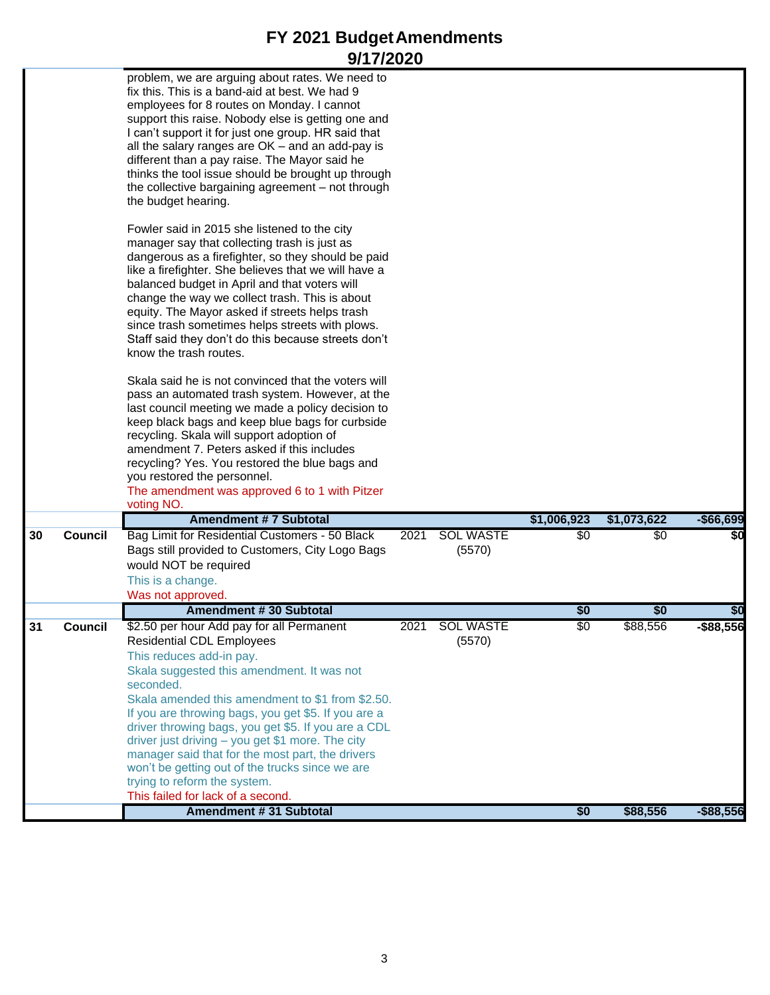|    |                | problem, we are arguing about rates. We need to<br>fix this. This is a band-aid at best. We had 9<br>employees for 8 routes on Monday. I cannot<br>support this raise. Nobody else is getting one and<br>I can't support it for just one group. HR said that<br>all the salary ranges are $OK$ – and an add-pay is<br>different than a pay raise. The Mayor said he<br>thinks the tool issue should be brought up through<br>the collective bargaining agreement - not through<br>the budget hearing.<br>Fowler said in 2015 she listened to the city<br>manager say that collecting trash is just as<br>dangerous as a firefighter, so they should be paid<br>like a firefighter. She believes that we will have a<br>balanced budget in April and that voters will<br>change the way we collect trash. This is about<br>equity. The Mayor asked if streets helps trash<br>since trash sometimes helps streets with plows.<br>Staff said they don't do this because streets don't<br>know the trash routes.<br>Skala said he is not convinced that the voters will<br>pass an automated trash system. However, at the<br>last council meeting we made a policy decision to<br>keep black bags and keep blue bags for curbside<br>recycling. Skala will support adoption of<br>amendment 7. Peters asked if this includes<br>recycling? Yes. You restored the blue bags and<br>you restored the personnel.<br>The amendment was approved 6 to 1 with Pitzer |      |                            |             |             |              |
|----|----------------|-------------------------------------------------------------------------------------------------------------------------------------------------------------------------------------------------------------------------------------------------------------------------------------------------------------------------------------------------------------------------------------------------------------------------------------------------------------------------------------------------------------------------------------------------------------------------------------------------------------------------------------------------------------------------------------------------------------------------------------------------------------------------------------------------------------------------------------------------------------------------------------------------------------------------------------------------------------------------------------------------------------------------------------------------------------------------------------------------------------------------------------------------------------------------------------------------------------------------------------------------------------------------------------------------------------------------------------------------------------------------------------------------------------------------------------------------------------|------|----------------------------|-------------|-------------|--------------|
|    |                | voting NO.                                                                                                                                                                                                                                                                                                                                                                                                                                                                                                                                                                                                                                                                                                                                                                                                                                                                                                                                                                                                                                                                                                                                                                                                                                                                                                                                                                                                                                                  |      |                            |             |             |              |
|    |                | <b>Amendment #7 Subtotal</b>                                                                                                                                                                                                                                                                                                                                                                                                                                                                                                                                                                                                                                                                                                                                                                                                                                                                                                                                                                                                                                                                                                                                                                                                                                                                                                                                                                                                                                |      |                            | \$1,006,923 | \$1,073,622 | $-$66,699$   |
| 30 | <b>Council</b> | Bag Limit for Residential Customers - 50 Black<br>Bags still provided to Customers, City Logo Bags<br>would NOT be required<br>This is a change.<br>Was not approved.                                                                                                                                                                                                                                                                                                                                                                                                                                                                                                                                                                                                                                                                                                                                                                                                                                                                                                                                                                                                                                                                                                                                                                                                                                                                                       | 2021 | <b>SOL WASTE</b><br>(5570) | \$0         | \$0         | \$0          |
|    |                | <b>Amendment #30 Subtotal</b>                                                                                                                                                                                                                                                                                                                                                                                                                                                                                                                                                                                                                                                                                                                                                                                                                                                                                                                                                                                                                                                                                                                                                                                                                                                                                                                                                                                                                               |      |                            | \$0         | \$0         | \$0          |
| 31 | Council        | \$2.50 per hour Add pay for all Permanent<br><b>Residential CDL Employees</b><br>This reduces add-in pay.<br>Skala suggested this amendment. It was not<br>seconded.<br>Skala amended this amendment to \$1 from \$2.50.<br>If you are throwing bags, you get \$5. If you are a<br>driver throwing bags, you get \$5. If you are a CDL<br>driver just driving - you get \$1 more. The city<br>manager said that for the most part, the drivers<br>won't be getting out of the trucks since we are<br>trying to reform the system.<br>This failed for lack of a second.                                                                                                                                                                                                                                                                                                                                                                                                                                                                                                                                                                                                                                                                                                                                                                                                                                                                                      |      | 2021 SOL WASTE<br>(5570)   | \$0         | \$88,556    | \$88,556     |
|    |                | <b>Amendment #31 Subtotal</b>                                                                                                                                                                                                                                                                                                                                                                                                                                                                                                                                                                                                                                                                                                                                                                                                                                                                                                                                                                                                                                                                                                                                                                                                                                                                                                                                                                                                                               |      |                            | \$0         | \$88,556    | $-$ \$88,556 |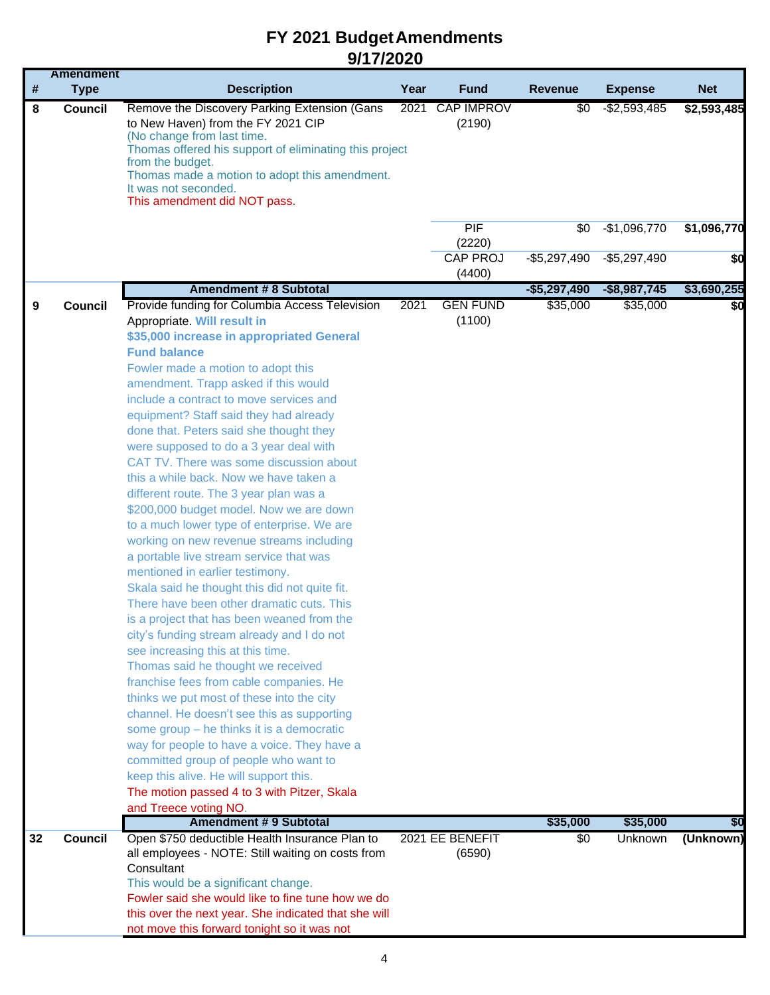|    | <b>Amendment</b> |                                                                                                                                                                                                                                                                                                                                                                                                                                                                                                                                                                                                                                                                                                                                                                                                                                                                                                                                                                                                                                                                                                                                                                                                                                                                                                                                                                                                                                                               |      |                             |                      |                      |             |
|----|------------------|---------------------------------------------------------------------------------------------------------------------------------------------------------------------------------------------------------------------------------------------------------------------------------------------------------------------------------------------------------------------------------------------------------------------------------------------------------------------------------------------------------------------------------------------------------------------------------------------------------------------------------------------------------------------------------------------------------------------------------------------------------------------------------------------------------------------------------------------------------------------------------------------------------------------------------------------------------------------------------------------------------------------------------------------------------------------------------------------------------------------------------------------------------------------------------------------------------------------------------------------------------------------------------------------------------------------------------------------------------------------------------------------------------------------------------------------------------------|------|-----------------------------|----------------------|----------------------|-------------|
| #  | <b>Type</b>      | <b>Description</b>                                                                                                                                                                                                                                                                                                                                                                                                                                                                                                                                                                                                                                                                                                                                                                                                                                                                                                                                                                                                                                                                                                                                                                                                                                                                                                                                                                                                                                            | Year | <b>Fund</b>                 | <b>Revenue</b>       | <b>Expense</b>       | <b>Net</b>  |
| 8  | <b>Council</b>   | Remove the Discovery Parking Extension (Gans<br>to New Haven) from the FY 2021 CIP<br>(No change from last time.<br>Thomas offered his support of eliminating this project<br>from the budget.<br>Thomas made a motion to adopt this amendment.<br>It was not seconded.<br>This amendment did NOT pass.                                                                                                                                                                                                                                                                                                                                                                                                                                                                                                                                                                                                                                                                                                                                                                                                                                                                                                                                                                                                                                                                                                                                                       | 2021 | <b>CAP IMPROV</b><br>(2190) | \$0                  | $-$2,593,485$        | \$2,593,485 |
|    |                  |                                                                                                                                                                                                                                                                                                                                                                                                                                                                                                                                                                                                                                                                                                                                                                                                                                                                                                                                                                                                                                                                                                                                                                                                                                                                                                                                                                                                                                                               |      | PIF<br>(2220)               | \$0                  | $-$1,096,770$        | \$1,096,770 |
|    |                  |                                                                                                                                                                                                                                                                                                                                                                                                                                                                                                                                                                                                                                                                                                                                                                                                                                                                                                                                                                                                                                                                                                                                                                                                                                                                                                                                                                                                                                                               |      | <b>CAP PROJ</b><br>(4400)   | $-$5,297,490$        | $-$5,297,490$        | \$0         |
|    |                  | <b>Amendment #8 Subtotal</b>                                                                                                                                                                                                                                                                                                                                                                                                                                                                                                                                                                                                                                                                                                                                                                                                                                                                                                                                                                                                                                                                                                                                                                                                                                                                                                                                                                                                                                  |      |                             | $-$5,297,490$        | $-$8,987,745$        | \$3,690,255 |
| 9  | Council          | Provide funding for Columbia Access Television<br>Appropriate. Will result in<br>\$35,000 increase in appropriated General<br><b>Fund balance</b><br>Fowler made a motion to adopt this<br>amendment. Trapp asked if this would<br>include a contract to move services and<br>equipment? Staff said they had already<br>done that. Peters said she thought they<br>were supposed to do a 3 year deal with<br>CAT TV. There was some discussion about<br>this a while back. Now we have taken a<br>different route. The 3 year plan was a<br>\$200,000 budget model. Now we are down<br>to a much lower type of enterprise. We are<br>working on new revenue streams including<br>a portable live stream service that was<br>mentioned in earlier testimony.<br>Skala said he thought this did not quite fit.<br>There have been other dramatic cuts. This<br>is a project that has been weaned from the<br>city's funding stream already and I do not<br>see increasing this at this time.<br>Thomas said he thought we received<br>franchise fees from cable companies. He<br>thinks we put most of these into the city<br>channel. He doesn't see this as supporting<br>some group - he thinks it is a democratic<br>way for people to have a voice. They have a<br>committed group of people who want to<br>keep this alive. He will support this.<br>The motion passed 4 to 3 with Pitzer, Skala<br>and Treece voting NO.<br><b>Amendment #9 Subtotal</b> | 2021 | <b>GEN FUND</b><br>(1100)   | \$35,000<br>\$35,000 | \$35,000<br>\$35,000 | \$0<br>\$0  |
| 32 | <b>Council</b>   | Open \$750 deductible Health Insurance Plan to                                                                                                                                                                                                                                                                                                                                                                                                                                                                                                                                                                                                                                                                                                                                                                                                                                                                                                                                                                                                                                                                                                                                                                                                                                                                                                                                                                                                                |      | 2021 EE BENEFIT             | \$0                  | Unknown              | (Unknown)   |
|    |                  | all employees - NOTE: Still waiting on costs from<br>Consultant<br>This would be a significant change.<br>Fowler said she would like to fine tune how we do<br>this over the next year. She indicated that she will<br>not move this forward tonight so it was not                                                                                                                                                                                                                                                                                                                                                                                                                                                                                                                                                                                                                                                                                                                                                                                                                                                                                                                                                                                                                                                                                                                                                                                            |      | (6590)                      |                      |                      |             |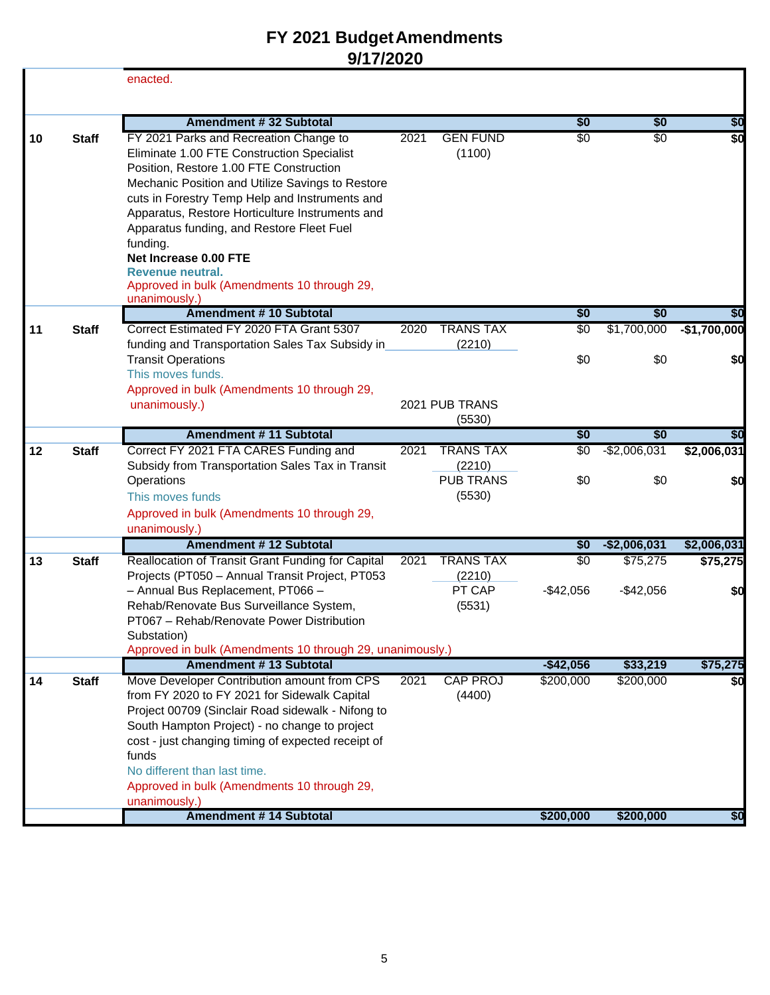|    |              | enacted.                                                                                                                                                                                                                                                                                                                                                                                                                                      |      |                                      |                |                    |                      |
|----|--------------|-----------------------------------------------------------------------------------------------------------------------------------------------------------------------------------------------------------------------------------------------------------------------------------------------------------------------------------------------------------------------------------------------------------------------------------------------|------|--------------------------------------|----------------|--------------------|----------------------|
|    |              | <b>Amendment #32 Subtotal</b>                                                                                                                                                                                                                                                                                                                                                                                                                 |      |                                      | \$0            | \$0                | \$0                  |
| 10 | <b>Staff</b> | FY 2021 Parks and Recreation Change to<br>Eliminate 1.00 FTE Construction Specialist<br>Position, Restore 1.00 FTE Construction<br>Mechanic Position and Utilize Savings to Restore<br>cuts in Forestry Temp Help and Instruments and<br>Apparatus, Restore Horticulture Instruments and<br>Apparatus funding, and Restore Fleet Fuel<br>funding.<br>Net Increase 0.00 FTE<br>Revenue neutral.<br>Approved in bulk (Amendments 10 through 29, | 2021 | <b>GEN FUND</b><br>(1100)            | $\sqrt[6]{30}$ | \$0                | \$0                  |
|    |              | unanimously.)                                                                                                                                                                                                                                                                                                                                                                                                                                 |      |                                      |                |                    |                      |
| 11 | <b>Staff</b> | <b>Amendment #10 Subtotal</b><br>Correct Estimated FY 2020 FTA Grant 5307                                                                                                                                                                                                                                                                                                                                                                     | 2020 | <b>TRANS TAX</b>                     | \$0<br>\$0     | \$0<br>\$1,700,000 | \$0<br>$-$1,700,000$ |
|    |              | funding and Transportation Sales Tax Subsidy in<br><b>Transit Operations</b>                                                                                                                                                                                                                                                                                                                                                                  |      | (2210)                               | \$0            | \$0                | \$0                  |
|    |              | This moves funds.<br>Approved in bulk (Amendments 10 through 29,                                                                                                                                                                                                                                                                                                                                                                              |      |                                      |                |                    |                      |
|    |              | unanimously.)                                                                                                                                                                                                                                                                                                                                                                                                                                 |      | 2021 PUB TRANS<br>(5530)             |                |                    |                      |
|    |              | Amendment # 11 Subtotal                                                                                                                                                                                                                                                                                                                                                                                                                       |      |                                      | \$0            | \$0                | \$0                  |
| 12 | <b>Staff</b> | Correct FY 2021 FTA CARES Funding and                                                                                                                                                                                                                                                                                                                                                                                                         | 2021 | <b>TRANS TAX</b>                     | \$0            | $-$2,006,031$      | \$2,006,031          |
|    |              | Subsidy from Transportation Sales Tax in Transit<br>Operations<br>This moves funds<br>Approved in bulk (Amendments 10 through 29,                                                                                                                                                                                                                                                                                                             |      | (2210)<br><b>PUB TRANS</b><br>(5530) | \$0            | \$0                | \$0                  |
|    |              | unanimously.)<br><b>Amendment #12 Subtotal</b>                                                                                                                                                                                                                                                                                                                                                                                                |      |                                      | \$0            | $-$2,006,031$      | \$2,006,031          |
| 13 | <b>Staff</b> | Reallocation of Transit Grant Funding for Capital                                                                                                                                                                                                                                                                                                                                                                                             | 2021 | <b>TRANS TAX</b>                     | $\sqrt[6]{3}$  | \$75,275           | \$75,275             |
|    |              | Projects (PT050 - Annual Transit Project, PT053<br>- Annual Bus Replacement, PT066 -<br>Rehab/Renovate Bus Surveillance System,<br>PT067 - Rehab/Renovate Power Distribution<br>Substation)                                                                                                                                                                                                                                                   |      | (2210)<br>PT CAP<br>(5531)           | $-$ \$42,056   | $-$42,056$         | \$0                  |
|    |              | Approved in bulk (Amendments 10 through 29, unanimously.)                                                                                                                                                                                                                                                                                                                                                                                     |      |                                      |                |                    |                      |
|    |              | <b>Amendment #13 Subtotal</b>                                                                                                                                                                                                                                                                                                                                                                                                                 |      |                                      | $-$42,056$     | \$33,219           | \$75,275             |
| 14 | <b>Staff</b> | Move Developer Contribution amount from CPS<br>from FY 2020 to FY 2021 for Sidewalk Capital<br>Project 00709 (Sinclair Road sidewalk - Nifong to<br>South Hampton Project) - no change to project<br>cost - just changing timing of expected receipt of<br>funds<br>No different than last time.<br>Approved in bulk (Amendments 10 through 29,<br>unanimously.)                                                                              | 2021 | <b>CAP PROJ</b><br>(4400)            | \$200,000      | \$200,000          | \$0                  |
|    |              | <b>Amendment #14 Subtotal</b>                                                                                                                                                                                                                                                                                                                                                                                                                 |      |                                      | \$200,000      | \$200,000          | \$0                  |
|    |              |                                                                                                                                                                                                                                                                                                                                                                                                                                               |      |                                      |                |                    |                      |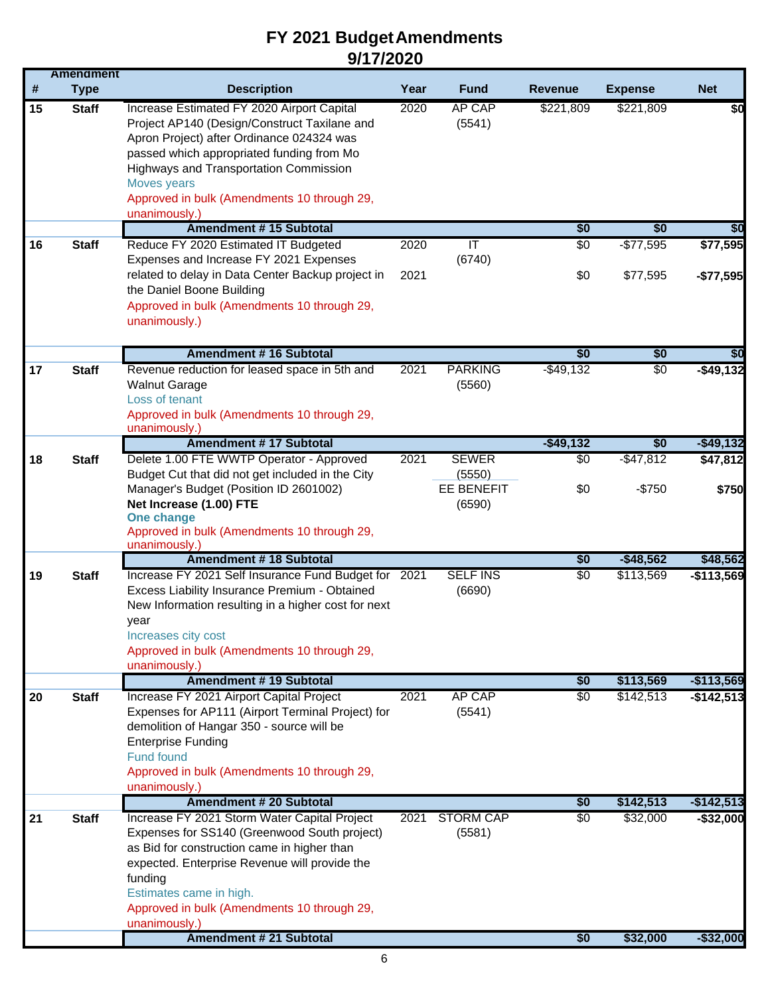|    | <b>Amendment</b> |                                                                                                                                                                                                                                                                                                    |      |                                       |                |                |              |
|----|------------------|----------------------------------------------------------------------------------------------------------------------------------------------------------------------------------------------------------------------------------------------------------------------------------------------------|------|---------------------------------------|----------------|----------------|--------------|
| #  | <b>Type</b>      | <b>Description</b>                                                                                                                                                                                                                                                                                 | Year | <b>Fund</b>                           | <b>Revenue</b> | <b>Expense</b> | <b>Net</b>   |
| 15 | <b>Staff</b>     | Increase Estimated FY 2020 Airport Capital<br>Project AP140 (Design/Construct Taxilane and<br>Apron Project) after Ordinance 024324 was<br>passed which appropriated funding from Mo<br>Highways and Transportation Commission<br>Moves years                                                      | 2020 | AP CAP<br>(5541)                      | \$221,809      | \$221,809      | \$0          |
|    |                  | Approved in bulk (Amendments 10 through 29,                                                                                                                                                                                                                                                        |      |                                       |                |                |              |
|    |                  | unanimously.)                                                                                                                                                                                                                                                                                      |      |                                       |                |                |              |
|    |                  | <b>Amendment #15 Subtotal</b>                                                                                                                                                                                                                                                                      |      |                                       | \$0            | \$0            | \$0          |
| 16 | <b>Staff</b>     | Reduce FY 2020 Estimated IT Budgeted<br>Expenses and Increase FY 2021 Expenses                                                                                                                                                                                                                     | 2020 | π<br>(6740)                           | \$0            | $-$77,595$     | \$77,595     |
|    |                  | related to delay in Data Center Backup project in<br>the Daniel Boone Building<br>Approved in bulk (Amendments 10 through 29,<br>unanimously.)                                                                                                                                                     | 2021 |                                       | \$0            | \$77,595       | $-$77,595$   |
|    |                  | <b>Amendment #16 Subtotal</b>                                                                                                                                                                                                                                                                      |      |                                       | \$0            | \$0            | \$0          |
| 17 | <b>Staff</b>     | Revenue reduction for leased space in 5th and<br><b>Walnut Garage</b><br>Loss of tenant<br>Approved in bulk (Amendments 10 through 29,<br>unanimously.)                                                                                                                                            | 2021 | <b>PARKING</b><br>(5560)              | $-$ \$49,132   | \$0            | $-$ \$49,132 |
|    |                  | <b>Amendment #17 Subtotal</b>                                                                                                                                                                                                                                                                      |      |                                       | $-$49,132$     | \$0            | $-$ \$49,132 |
| 18 | <b>Staff</b>     | Delete 1.00 FTE WWTP Operator - Approved                                                                                                                                                                                                                                                           | 2021 | <b>SEWER</b>                          | $\sqrt{6}$     | $-$ \$47,812   | \$47,812     |
|    |                  | Budget Cut that did not get included in the City<br>Manager's Budget (Position ID 2601002)<br>Net Increase (1.00) FTE<br>One change<br>Approved in bulk (Amendments 10 through 29,                                                                                                                 |      | (5550)<br><b>EE BENEFIT</b><br>(6590) | \$0            | $-$750$        | \$750        |
|    |                  | unanimously.)<br><b>Amendment #18 Subtotal</b>                                                                                                                                                                                                                                                     |      |                                       | \$0            | $-$48,562$     | \$48,562     |
| 19 | <b>Staff</b>     | Increase FY 2021 Self Insurance Fund Budget for 2021<br>Excess Liability Insurance Premium - Obtained<br>New Information resulting in a higher cost for next<br>year<br>Increases city cost<br>Approved in bulk (Amendments 10 through 29,                                                         |      | <b>SELF INS</b><br>(6690)             | \$0            | \$113,569      | $-$113,569$  |
|    |                  | unanimously.)<br><b>Amendment #19 Subtotal</b>                                                                                                                                                                                                                                                     |      |                                       | \$0            | \$113,569      | $-$113,569$  |
| 20 | <b>Staff</b>     | Increase FY 2021 Airport Capital Project<br>Expenses for AP111 (Airport Terminal Project) for<br>demolition of Hangar 350 - source will be<br><b>Enterprise Funding</b><br><b>Fund found</b><br>Approved in bulk (Amendments 10 through 29,<br>unanimously.)                                       | 2021 | <b>AP CAP</b><br>(5541)               | \$0            | \$142,513      | $-$142,513$  |
|    |                  | <b>Amendment # 20 Subtotal</b>                                                                                                                                                                                                                                                                     |      |                                       | \$0            | \$142,513      | $-$142,513$  |
| 21 | <b>Staff</b>     | Increase FY 2021 Storm Water Capital Project<br>Expenses for SS140 (Greenwood South project)<br>as Bid for construction came in higher than<br>expected. Enterprise Revenue will provide the<br>funding<br>Estimates came in high.<br>Approved in bulk (Amendments 10 through 29,<br>unanimously.) | 2021 | <b>STORM CAP</b><br>(5581)            | \$0            | \$32,000       | $-$32,000$   |
|    |                  | <b>Amendment # 21 Subtotal</b>                                                                                                                                                                                                                                                                     |      |                                       | \$0            | \$32,000       | $-$32,000$   |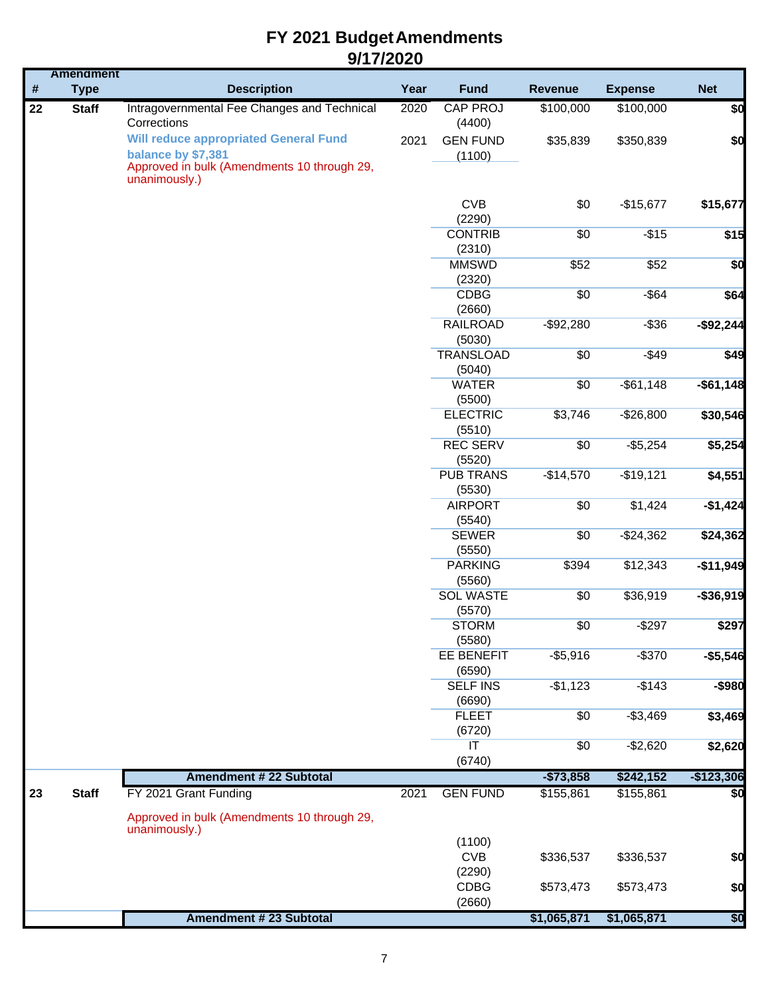|      | <b>Amendment</b> |                                                                    |      |                                             |                |                |             |
|------|------------------|--------------------------------------------------------------------|------|---------------------------------------------|----------------|----------------|-------------|
| $\#$ | <b>Type</b>      | <b>Description</b>                                                 | Year | <b>Fund</b>                                 | <b>Revenue</b> | <b>Expense</b> | <b>Net</b>  |
| 22   | <b>Staff</b>     | Intragovernmental Fee Changes and Technical<br>Corrections         | 2020 | CAP PROJ<br>(4400)                          | \$100,000      | \$100,000      | \$0         |
|      |                  | <b>Will reduce appropriated General Fund</b><br>balance by \$7,381 | 2021 | <b>GEN FUND</b><br>(1100)                   | \$35,839       | \$350,839      | \$0         |
|      |                  | Approved in bulk (Amendments 10 through 29,<br>unanimously.)       |      |                                             |                |                |             |
|      |                  |                                                                    |      | <b>CVB</b><br>(2290)                        | \$0            | $-$15,677$     | \$15,677    |
|      |                  |                                                                    |      | <b>CONTRIB</b><br>(2310)                    | \$0            | $-$15$         | \$15        |
|      |                  |                                                                    |      | <b>MMSWD</b><br>(2320)                      | \$52           | \$52           | \$0         |
|      |                  |                                                                    |      | <b>CDBG</b><br>(2660)                       | \$0            | $-$ \$64       | \$64        |
|      |                  |                                                                    |      | <b>RAILROAD</b><br>(5030)                   | $-$ \$92,280   | $-$ \$36       | $-$92,244$  |
|      |                  |                                                                    |      | <b>TRANSLOAD</b><br>(5040)                  | \$0            | $-$49$         | \$49        |
|      |                  |                                                                    |      | <b>WATER</b><br>(5500)                      | \$0            | $-$ \$61,148   | $-$61,148$  |
|      |                  |                                                                    |      | <b>ELECTRIC</b><br>(5510)                   | \$3,746        | $-$26,800$     | \$30,546    |
|      |                  |                                                                    |      | <b>REC SERV</b><br>(5520)                   | \$0            | $-$ \$5,254    | \$5,254     |
|      |                  |                                                                    |      | <b>PUB TRANS</b><br>(5530)                  | $-$14,570$     | $-$19,121$     | \$4,551     |
|      |                  |                                                                    |      | <b>AIRPORT</b><br>(5540)                    | \$0            | \$1,424        | $-$1,424$   |
|      |                  |                                                                    |      | <b>SEWER</b><br>(5550)                      | \$0            | $-$ \$24,362   | \$24,362    |
|      |                  |                                                                    |      | <b>PARKING</b><br>(5560)                    | \$394          | \$12,343       | $-$11,949$  |
|      |                  |                                                                    |      | <b>SOL WASTE</b><br>(5570)                  | \$0            | \$36,919       | $-$36,919$  |
|      |                  |                                                                    |      | <b>STORM</b><br>(5580)                      | \$0            | $-$297$        | \$297       |
|      |                  |                                                                    |      | <b>EE BENEFIT</b><br>(6590)                 | $-$5,916$      | $-$ \$370      | $- $5,546$  |
|      |                  |                                                                    |      | <b>SELF INS</b><br>(6690)                   | $-$1,123$      | $-$143$        | $-$ \$980   |
|      |                  |                                                                    |      | <b>FLEET</b><br>(6720)                      | \$0            | $-$3,469$      | \$3,469     |
|      |                  |                                                                    |      | $\overline{\mathsf{I}\mathsf{T}}$<br>(6740) | \$0            | $-$2,620$      | \$2,620     |
|      |                  | <b>Amendment # 22 Subtotal</b>                                     |      |                                             | $- $73,858$    | \$242,152      | $-$123,306$ |
| 23   | <b>Staff</b>     | FY 2021 Grant Funding                                              | 2021 | <b>GEN FUND</b>                             | \$155,861      | \$155,861      | \$          |
|      |                  | Approved in bulk (Amendments 10 through 29,<br>unanimously.)       |      |                                             |                |                |             |
|      |                  |                                                                    |      | (1100)<br><b>CVB</b>                        | \$336,537      | \$336,537      | \$0         |
|      |                  |                                                                    |      | (2290)<br><b>CDBG</b><br>(2660)             | \$573,473      | \$573,473      | \$0         |
|      |                  | Amendment # 23 Subtotal                                            |      |                                             | \$1,065,871    | \$1,065,871    | \$0         |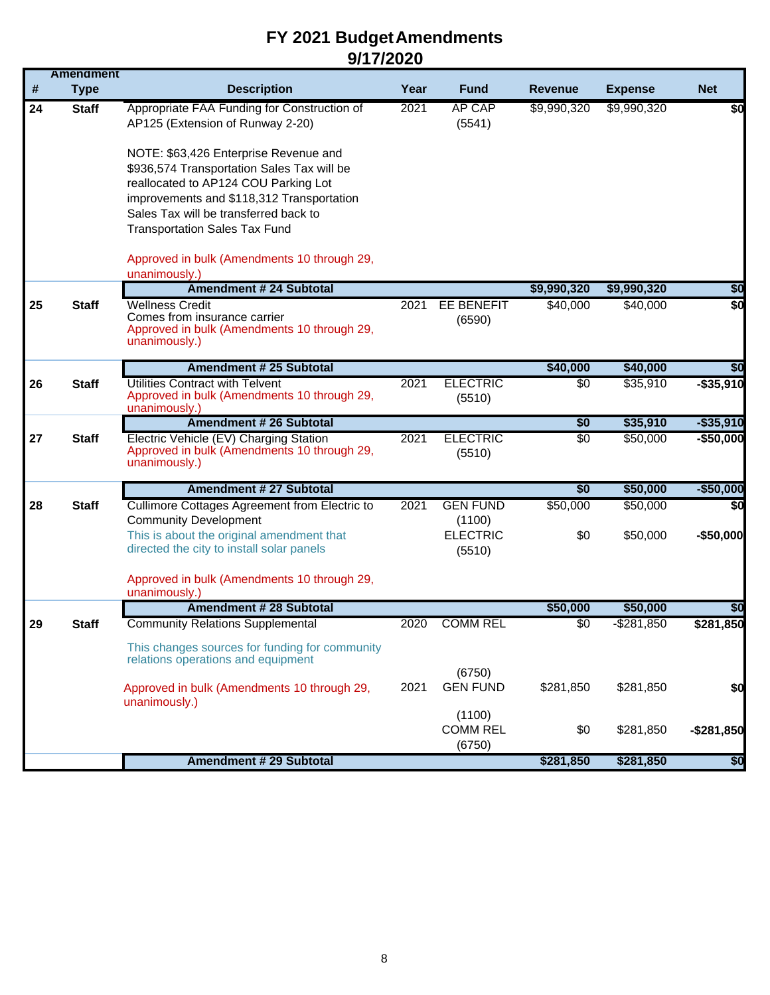|    | <b>Amendment</b> |                                                                                      |      |                           |                 |                |              |
|----|------------------|--------------------------------------------------------------------------------------|------|---------------------------|-----------------|----------------|--------------|
| #  | <b>Type</b>      | <b>Description</b>                                                                   | Year | <b>Fund</b>               | <b>Revenue</b>  | <b>Expense</b> | <b>Net</b>   |
| 24 | <b>Staff</b>     | Appropriate FAA Funding for Construction of<br>AP125 (Extension of Runway 2-20)      | 2021 | <b>AP CAP</b><br>(5541)   | \$9,990,320     | \$9,990,320    | \$0          |
|    |                  | NOTE: \$63,426 Enterprise Revenue and                                                |      |                           |                 |                |              |
|    |                  | \$936,574 Transportation Sales Tax will be                                           |      |                           |                 |                |              |
|    |                  | reallocated to AP124 COU Parking Lot                                                 |      |                           |                 |                |              |
|    |                  | improvements and \$118,312 Transportation                                            |      |                           |                 |                |              |
|    |                  | Sales Tax will be transferred back to                                                |      |                           |                 |                |              |
|    |                  | <b>Transportation Sales Tax Fund</b>                                                 |      |                           |                 |                |              |
|    |                  | Approved in bulk (Amendments 10 through 29,                                          |      |                           |                 |                |              |
|    |                  | unanimously.)                                                                        |      |                           |                 |                |              |
|    |                  | <b>Amendment # 24 Subtotal</b>                                                       |      |                           | \$9,990,320     | \$9,990,320    | \$0          |
| 25 | <b>Staff</b>     | <b>Wellness Credit</b>                                                               | 2021 | <b>EE BENEFIT</b>         | \$40,000        | \$40,000       | \$0          |
|    |                  | Comes from insurance carrier<br>Approved in bulk (Amendments 10 through 29,          |      | (6590)                    |                 |                |              |
|    |                  | unanimously.)                                                                        |      |                           |                 |                |              |
|    |                  | <b>Amendment # 25 Subtotal</b>                                                       |      |                           | \$40,000        | \$40,000       | \$0          |
| 26 | <b>Staff</b>     | Utilities Contract with Telvent                                                      | 2021 | <b>ELECTRIC</b>           | \$0             | \$35,910       | $-$ \$35,910 |
|    |                  | Approved in bulk (Amendments 10 through 29,<br>unanimously.)                         |      | (5510)                    |                 |                |              |
|    |                  | <b>Amendment # 26 Subtotal</b>                                                       |      |                           | \$0             | \$35,910       | $- $35,910$  |
| 27 | <b>Staff</b>     | Electric Vehicle (EV) Charging Station                                               | 2021 | <b>ELECTRIC</b>           | $\overline{50}$ | \$50,000       | $-$50,000$   |
|    |                  | Approved in bulk (Amendments 10 through 29,<br>unanimously.)                         |      | (5510)                    |                 |                |              |
|    |                  |                                                                                      |      |                           |                 |                |              |
|    |                  | <b>Amendment # 27 Subtotal</b>                                                       |      |                           | \$0             | \$50,000       | $-$50,000$   |
| 28 | <b>Staff</b>     | Cullimore Cottages Agreement from Electric to                                        | 2021 | <b>GEN FUND</b>           | \$50,000        | \$50,000       | \$0          |
|    |                  | <b>Community Development</b><br>This is about the original amendment that            |      | (1100)<br><b>ELECTRIC</b> | \$0             |                |              |
|    |                  | directed the city to install solar panels                                            |      | (5510)                    |                 | \$50,000       | $-$50,000$   |
|    |                  |                                                                                      |      |                           |                 |                |              |
|    |                  | Approved in bulk (Amendments 10 through 29,                                          |      |                           |                 |                |              |
|    |                  | unanimously.)<br><b>Amendment # 28 Subtotal</b>                                      |      |                           | \$50,000        | \$50,000       | \$0          |
| 29 | Staff            | <b>Community Relations Supplemental</b>                                              | 2020 | <b>COMM REL</b>           | \$0             | $-$ \$281,850  | \$281,850    |
|    |                  |                                                                                      |      |                           |                 |                |              |
|    |                  | This changes sources for funding for community<br>relations operations and equipment |      |                           |                 |                |              |
|    |                  |                                                                                      |      | (6750)                    |                 |                |              |
|    |                  | Approved in bulk (Amendments 10 through 29,                                          | 2021 | <b>GEN FUND</b>           | \$281,850       | \$281,850      | \$0          |
|    |                  | unanimously.)                                                                        |      | (1100)                    |                 |                |              |
|    |                  |                                                                                      |      | <b>COMM REL</b>           | \$0             | \$281,850      | $-$281,850$  |
|    |                  |                                                                                      |      | (6750)                    |                 |                |              |
|    |                  | <b>Amendment # 29 Subtotal</b>                                                       |      |                           | \$281,850       | \$281,850      | \$0          |